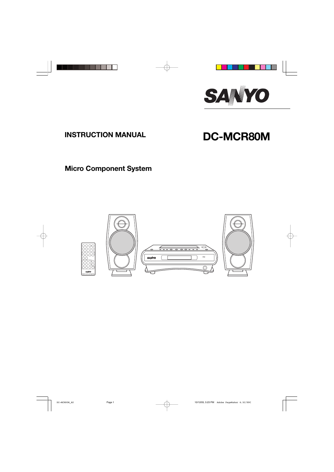

# **INSTRUCTION MANUAL DC-MCR80M**

## **Micro Component System**

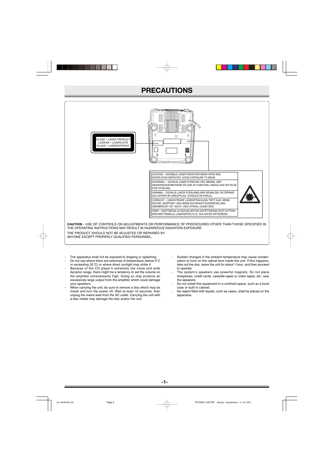### **PRECAUTIONS**



- The apparatus shall not be exposed to dripping or splashing.
- Do not use where there are extremes of temperature (below 5°C or exceeding 35°C) or where direct sunlight may strike it.
- Because of the CD player's extremely low noise and wide dynamic range, there might be a tendency to set the volume on the amplifier unnecessarily high. Doing so may produce an excessively large output from the amplifier which could damage your speakers.
- When carrying the unit, be sure to remove a disc which may be inside and turn the power off. Wait at least 10 seconds, then unplug the mains lead from the AC outlet. Carrying the unit with a disc inside may damage the disc and/or the unit.
- Sudden changes in the ambient temperature may cause condensation to form on the optical lens inside the unit. If this happens, take out the disc, leave the unit for about 1 hour, and then proceed to operate.
- The system's speakers use powerful magnets. Do not place timepieces, credit cards, cassette tapes or video tapes, etc. near the speakers.
- Do not install this equipment in a confined space, such as a book case or built in cabinet.
- No object filled with liquids, such as vases, shall be placed on the apparatus.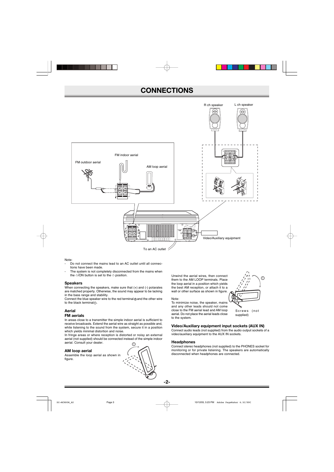### **CONNECTIONS**



#### Note:

- Do not connect the mains lead to an AC outlet until all connections have been made.
- The system is not completely disconnected from the mains when the  $\bigcirc$ /ON button is set to the  $\bigcirc$  position.

#### **Speakers**

When connecting the speakers, make sure that (+) and (-) potarales are matched property. Otherwise, the sound may appear to be lacking in the bass range and stability.

Connect the blue speaker wire to the red terminal  $\oplus$  and the other wire to the black terminal $\odot$ .

#### **Aerial**

#### **FM aerials**

In areas close to a transmitter the simple indoor aerial is sufficient to receive broadcasts. Extend the aerial wire as straight as possible and, while listening to the sound from the system, secure it in a position which yields minimal distortion and noise.

In fringe areas or where reception is distorted or noisy an external aerial (not suppiled) should be connected instead of the simple indoor aerial. Consult your dealer.

#### **AM loop aerial**

Assemble the loop aerial as shown in figure.



Unwind the aerial wires, then connect them to the AM LOOP terminals. Place the loop aerial in a position which yields the best AM reception, or attach it to a wall or other surface as shown in figure.

#### Note:

To minimize noise, the speaker, mains and any other leads should not come close to the FM aerial lead and AM loop aerial. Do not place the aerial leads close to the system.

#### **Video/Auxiliary equipment input sockets (AUX IN)**

Connect audio leads (not supplied) from the audio output sockets of a video/auxiliary equipment to the AUX IN sockets.

#### **Headphones**

Connect stereo headphones (not supplied) to the PHONES socket for monitoring or for private listening. The speakers are automatically disconnected when headphones are connected.

2

 $\odot$ 

Screws (not supplied)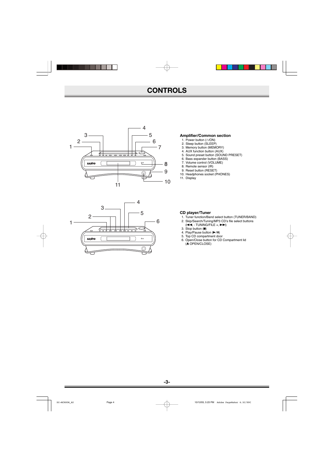### **CONTROLS**





#### **Amplifier/Common section**

- 1. Power button ( $\bigcirc$ /ON)
- 2. Sleep button (SLEEP)
- 3. Memory button (MEMORY)
- 4. AUX function button (AUX)
- 5. Sound preset button (SOUND PRESET)
- 6. Bass expander button (BASS)
- 7. Volume control (VOLUME)
- 8. Remote sensor (IR)
- 9. Reset button (RESET)
- 10. Headphones socket (PHONES)
- 11. Display

#### **CD player/Tuner**

- 1. Tuner function/Band select button (TUNER/BAND)
- 2. Skip/Search/Tuning/MP3 CD's file select buttons  $(H=, -TUNING/FILE +, \blacktriangleright\blacktriangleright)$
- 3. Stop button  $($
- 4. Play/Pause button  $(\triangleright$ /II)
- 5. Top CD compartment door
- 6. Open/Close button for CD Compartment lid (<sup>△</sup>OPEN/CLOSE)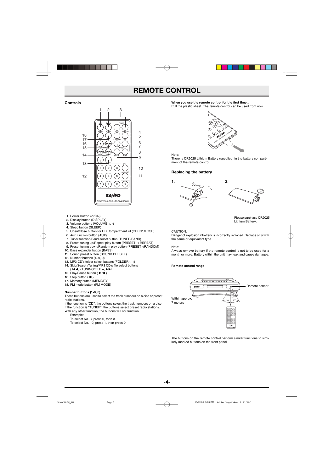### **REMOTE CONTROL**

#### **Controls**



- 1. Power button ( $\bigcirc$ /ON)
- 2. Display button (DISPLAY)
- 3. Volume buttons (VOLUME +, -)
- 4. Sleep button (SLEEP)
- 5. Open/Close button for CD Compartment lid (OPEN/CLOSE)
- 6. Aux function button (AUX)
- 7. Tuner function/Band select button (TUNER/BAND)
- 8. Preset tuning up/Repeat play button (PRESET +/ REPEAT)
- 9. Preset tuning down/Random play button (PRESET -/RANDOM)
- 10. Bass expander button (BASS) 11. Sound preset button (SOUND PRESET)
- 
- 12. Number buttons (1~9, 0)
- 13. MP3 CD's folder select buttons (FOLDER -, +)
- 14. Skip/Search/Tuning/MP3 CD's file select buttons
- $H =$ , TUNING/FILE +,  $\blacktriangleright \blacktriangleright$  )
- 15. Play/Pause button  $(\blacktriangleright$ /II)
- 16. Stop button ( $\blacksquare$ )
- 17. Memory button (MEMORY)
- 18. FM mode button (FM MODE)

#### **Number buttons (1-9, 0)**

These buttons are used to select the track numbers on a disc or preset radio stations.

If the function is "CD'', the buttons select the track numbers on a disc. If the function is "TUNER", the buttons select preset radio stations.

- With any other function, the buttons will not function.
	- Example:

To select No. 3, press 0, then 3.

To select No. 10, press 1, then press 0.

#### **When you use the remote control for the first time...**

Pull the plastic sheet. The remote control can be used from now.



Note:

There is CR2025 Lithium Battery (supplied) in the battery compartment of the remote control.

#### **Replacing the battery**





Please purchase CR2025 Lithium Battery.

#### CAUTION:

Danger of explosion if battery is incorrectly replaced. Replace only with the same or equivalent type.

#### Note:

Always remove battery if the remote control is not to be used for a month or more. Battery within the unit may leak and cause damages.

#### **Remote control range**



The buttons on the remote control perform similar functions to similarly marked buttons on the front panel.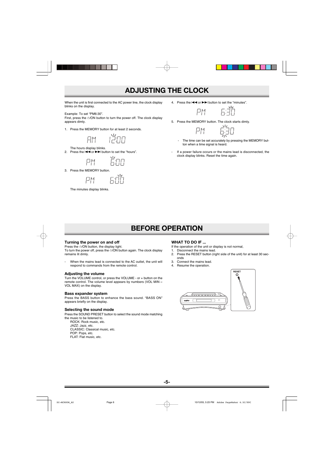### **ADJUSTING THE CLOCK**

When the unit is first connected to the AC power line, the clock display blinks on the display.

Example: To set "PM6:30".

First, press the  $\bigcirc$ /ON button to turn the power off. The clock display appears dimly.

1. Press the MEMORY button for at least 2 seconds.

芦田 AM<sup>1</sup>

The hours display blinks.

2. Press the  $\blacktriangleleft \blacktriangleleft$  or  $\blacktriangleright \blacktriangleright$  button to set the "hours".



3. Press the MEMORY button.

EOS 尸鬥

The minutes display blinks.

4. Press the  $\blacktriangleleft \blacktriangleleft$  or  $\blacktriangleright \blacktriangleright$  button to set the "minutes".



5. Press the MEMORY button. The clock starts dimly.

巳

$$
\begin{array}{c}\nM \\
M \\
M\n\end{array}\n\qquad\n\begin{array}{c}\n\Delta_{1} \\
\Delta_{1} \\
\Delta_{1}\n\end{array}
$$

- The time can be set accurately by pressing the MEMORY button when a time signal is heard.
- If a power failure occurs or the mains lead is disconnected, the clock display blinks. Reset the time again.

### **BEFORE OPERATION**

#### **Turning the power on and off**

Press the  $\bigcirc$ /ON button, the display light.

To turn the power off, press the  $\bigcirc$ /ON button again. The clock display remains lit dimly.

- When the mains lead is connected to the AC outlet, the unit will respond to commands from the remote control.

#### **Adjusting the volume**

Turn the VOLUME control, or press the VOLUME - or + button on the remote control. The volume level appears by numbers (VOL MIN  $\sim$ VOL MAX) on the display.

#### **Bass expander system**

Press the BASS button to enhance the bass sound. "BASS ON" appears briefly on the display.

#### **Selecting the sound mode**

Press the SOUND PRESET button to select the sound mode matching the music to be listened to.

ROCK: Rock music, etc. JAZZ: Jazz, etc. CLASSIC: Classical music, etc. POP: Pops, etc. FLAT: Flat music, etc.

#### **WHAT TO DO IF ...**

If the operation of the unit or display is not normal,

- 1. Disconnect the mains lead.
- 2. Press the RESET button (right side of the unit) for at least 30 seconds
- 3. Connect the mains lead.
- 4. Resume the operation.

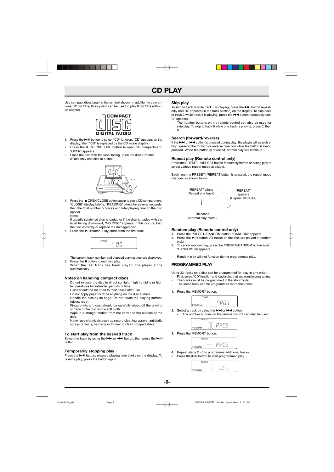### **CD PLAY**

Use compact discs bearing the symbol shown. In addition to conventional 12 cm CDs, this system can be used to play 8 cm CDs without an adapter.



- 1. Press the  $\blacktriangleright$ /II button to select "CD" function. "CD" appears on the display, then "CD" is replaced by the CD mode display.
- 2. Press the ▲ OPEN/CLOSE button to open CD compartment, "OPEN" appears.
- 3. Place the disc with the label facing up on the disc turntable. (Place only one disc at a time.)



4. Press the  $\triangle$  OPEN/CLOSE button again to close CD compartment, "CLOSE" display briefly, "READING" blinks for several seconds, then the total number of tracks and total playing time on the disc appear. Note:

If a badly scratched disc is loaded or if the disc is loaded with the label facing downward, "NO DISC" appears. If this occurs, load the disc correctly or replace the damaged disc.

5. Press the  $\blacktriangleright$ /II button. Play starts from the first track.



The current track number and elapsed playing time are displayed. 6. Press the **n** button to end disc play.

When the last track has been played, the player stops automatically.

#### **Notes on handling compact discs**

- Do not expose the disc to direct sunlight, high humidity or high temperatures for extended periods of time.
- Discs should be returned to their cases after use.
- Do not apply paper or write anything on the disc surface.
- Handle the disc by its edge. Do not touch the playing surface (glossy side).
- Fingerprints and dust should be carefully wiped off the playing surface of the disc with a soft cloth.

Wipe in a straight motion from the centre to the outside of the disc.

Never use chemicals such as record cleaning sprays, antistatic sprays or fluids, benzene or thinner to clean compact discs.

#### **To start play from the desired track**

Select the track by using the  $\blacktriangleright$  or  $\blacktriangleright$  or let button, then press the  $\blacktriangleright$ /II button.

#### **Temporarily stopping play**

Press the  $\blacktriangleright$ /II button, elapsed playing time blinks on the display. To resume play, press the button again.

#### **Skip play**

To skip to track 6 while track 3 is playing, press the  $\blacktriangleright\blacktriangleright$  button repeatedly until "6" appears (in the track section) on the display. To skip back to track 3 while track 6 is playing, press the  $\blacktriangleleft$  button repeatedly until "3" appears.

- The number buttons on the remote control can also be used for skip play. To skip to track 6 while one track is playing, press 0, then 6.

#### **Search (forward/reverse)**

If the  $\blacktriangleright$  or  $\blacktriangleleft$  button is pressed during play, the player will search at high speed in the forward or reverse direction while the button is being pressed. When the button is released, normal play will continue.

#### **Repeat play (Remote control only)**

Press the PRESET+/REPEAT button repeatedly before or during play to select various repeat mode available.

Each time the PRESET+/REPEAT button is pressed, the repeat mode changes as shown below:



(Normal play mode)

#### **Random play (Remote control only)**

- 1. Press the PRESET-/RANDOM button, "RANDOM" appears.<br>2. Press the ►/II button, All tracks on the disc are played in ra
- Press the  $\blacktriangleright$ /II button. All tracks on the disc are played in random order.
- 3. To cancel random play, press the PRESET-/RANDOM button again, "RANDOM" disappears.
- Random play will not function during programmed play.

#### **PROGRAMMED PLAY**

Up to 32 tracks on a disc can be programmed for play in any order.

- First, select "CD" function and load a disc that you want to programme.
- The tracks must be programmed in the stop mode.
- The same track can be programmed more than once.
- 1. Press the MEMORY button.



2. Select a track by using the  $\blacktriangleright$  or  $\blacktriangleright$  or  $\blacktriangleright$  button. The number buttons on the remote control can also be used.



3. Press the MEMORY button.



4. Repeat steps 2 - 3 to programme additional tracks. 5. Press the  $\blacktriangleright$ /II button to start programmed play.

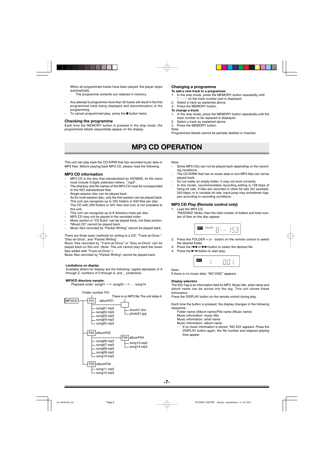When all programmed tracks have been played, the player stops automatically.

- The programme contents are retained in memory.
- Any attempt to programme more than 32 tracks will result in the first programmed track being displayed and discontinuation of the programming.
- To cancel programmed play, press the  $\blacksquare$  button twice.

#### **Checking the programme**

Each time the MEMORY button is pressed in the stop mode, the programmed details sequentially appear on the display.

#### **Changing a programme**

#### **To add a new track to a programme:**

- 1. In the stop mode, press the MEMORY button repeatedly until "- - - -" on the track number part is displayed.
- 2. Select a track as explained above.
- 3. Press the MEMORY button.

#### **To change a track:**

- 1. In the stop mode, press the MEMORY button repeatedly until the track number to be replaced is displayed.
- 2. Select a track as explained above.
- 3. Press the MEMORY button.

#### Note:

Programmed details cannot be partially deleted or inserted.

### **MP3 CD OPERATION**

This unit can play back the CD-R/RW that has recorded music data or MP3 files. Before playing back MP3 CD, please read the following.

#### **MP3 CD information**

- MP3 CD is the disc that standardized by ISO9660, its file name must include 3-digits extension letters, ".mp3".
- The directory and file names of the MP3 CD must be corresponded to the ISO standardized files.
- Single-session disc can be played back.
- As for multi-session disc, only the first session can be played back. This unit can recognize up to 255 folders or 640 files per disc. The CD with 256 folders or 641 files and over is not available to
- this unit.
- This unit can recognize up to 8 directory trees per disc.
- MP3 CD may not be played in the recorded order.
- Music section in "CD Extra" can be played back, not Data section.
- "Mixed CD" cannot be played back.
- Music files recorded by "Packet Writing" cannot be played back.

There are three basic methods for writing to a CD: "Track-at-Once ", "Disc-at-Once", and "Packet Writing".

Music files recorded by "Track-at-Once" or "Disc-at-Once" can be played back on this unit. (Note: The unit cannot play back the music files added with "Track-at-Once".)

Music files recorded by "Packet Writing" cannot be played back.

#### **Limitations on display**

Available letters for display are the following: capital alphabets of A through Z, numbers of 0 through 9, and \_ (underline).

#### **MP3CD directory sample:**

Playback order: song01  $\rightarrow$  song02  $\rightarrow$  ... song14



Note:

- Some MP3 CDs can not be played back depending on the recording conditions.
- The CD-R/RW that has no music data or non-MP3 files can not be played back.
- Do not make an empty folder. It may not work correctly.
- In this model, recommendable recording setting is 128 kbps of fixing bit rate. If files are recorded in other bit rate (for example: 320 kbps) or in variable bit rate, track-jump may sometimes happen according to recording conditions.

#### **MP3 CD Play (Remote control only)**

1. Load the MP3 CD.

"READING" blinks, then the total number of folders and total number of files on the disc appear.



- 2. Press the FOLDER + or button on the remote control to select the desired folder.
- 3. Press the  $\blacktriangleleft \blacktriangleleft$  or  $\blacktriangleright \blacktriangleright$  button to select the desired file.
- 4. Press the  $\blacktriangleright$ /II button to start play.

|--|

#### Note:

If there is no music data, "NO DISC" appears.

#### **Display selection**

The ID3-Tag is an information field for MP3. Music title, artist name and album name can be stored into the tag. This unit shows these information.

Press the DISPLAY button on the remote control during play.

Each time the button is pressed, the display changes in the following sequence.

Folder name (Album name)/File name (Music name)

Music information: music title

Music information: artist name

Music information: album name

If no music information is stored, "NO ID3" appears. Press the DISPLAY button again, the file number and elapsed playing time appear.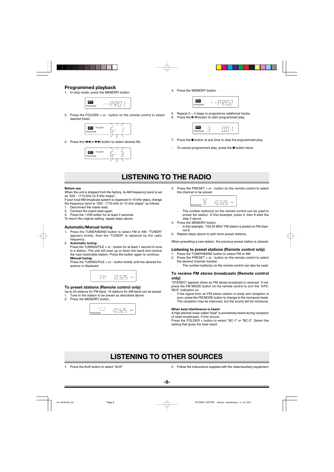#### **Programmed playback**

1. In stop mode, press the MEMORY button.



2. Press the FOLDER + or - button on the remote control to select desired folder.



3 Press the  $\blacktriangleleft$  or  $\blacktriangleright$  button to select desired file.



4. Press the MEMORY button.



- 5. Repeat  $2 \sim 4$  steps to programme additional tracks.
- 6. Press the  $\blacktriangleright$ /II button to start programmed play.

| PROGRAM |  |
|---------|--|

- 7. Press the  $\blacksquare$  button at any time to stop the prgorammed play.
- To cancel programmed play, press the  $\blacksquare$  button twice.

### **LISTENING TO THE RADIO**

**Before use**

When the unit is shipped from the factory, its AM frequency band is set as "522 - 1710 kHz (in 9 kHz steps)".

If your local AM broadcast system is organized in 10 kHz steps, change the frequency band to "520 - 1710 kHz (in 10 kHz steps)" as follows.

- 1. Disconnect the mains lead.
- 2. Connect the mains lead again.
- 3. Press the  $\bigcirc$ /ON button for at least 2 seconds.

To return the original setting, repeat steps above.

#### **Automatic/Manual tuning**

- 1. Press the TUNER/BAND button to select FM or AM. "TUNER" appears briefly, then the "TUNER" is replaced by the radio frequency.
- 2. **Automatic tuning**

Press the TUNING/FILE + or - button for at least 1 second to tune in a station. The unit will scan up or down the band and receive the next receivable station. Press the button again to continue. **Manual tuning**

Press the TUNING/FILE + or - button briefly until the desired frequency is displayed.



#### **To preset stations (Remote control only)**

Up to 24 stations for FM band, 16 stations for AM band can be preset.

- 1. Tune in the station to be preset as described above.
- 2. Press the MEMORY button



3. Press the PRESET + or - button on the remote control to select the channel to be preset.



- The number button(s) on the remote control can be used to preset the station. In this example, press 0, then 9 after the sten 2 above.
- 4. Press the MEMORY button.
- In this example, "103.25 MHz" FM station is preset on FM channel 9.
- 5. Repeat steps above to add more preset stations.

When presetting a new station, the previous preset station is cleared.

#### **Listening to preset stations (Remote control only)**

- 1. Press the TUNER/BAND button to select FM or AM. 2. Press the PRESET + or - button on the remote control to select the desired channel number.
	- The number button(s) on the remote control can also be used.

#### **To receive FM stereo broadcasts (Remote control only)**

"STEREO" appears when an FM stereo broadcast is received. If not, press the FM MODE button on the remote control to turn the "STE-REO" indication on.

If the signal from an FM stereo station is weak and reception is poor, press the FM MODE button to change to the monaural mode. The reception may be improved, but the sound will be monaural.

#### **When beat interference is heard**

A high-pitched noise called "beat" is sometimes heard during reception of radio broadcasts. If this occurs,

Press the FOLDER + button to select "BC-1" or "BC-2". Select the setting that gives the best result.

### **LISTENING TO OTHER SOURCES**

1. Press the AUX button to select "AUX"

2. Follow the instructions supplied with the video/auxiliary equipment.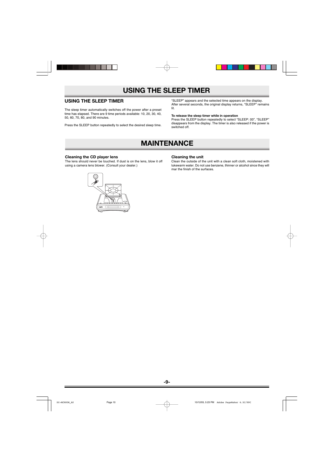### **USING THE SLEEP TIMER**

### **USING THE SLEEP TIMER**

The sleep timer automatically switches off the power after a preset time has elapsed. There are 9 time periods available: 10, 20, 30, 40, 50, 60, 70, 80, and 90 minutes.

Press the SLEEP button repeatedly to select the desired sleep time.

"SLEEP" appears and the selected time appears on the display. After several seconds, the original display returns, "SLEEP" remains lit.

#### **To release the sleep timer while in operation**

Press the SLEEP button repeatedly to select "SLEEP: 00", "SLEEP" disappears from the display. The timer is also released if the power is switched off.

### **MAINTENANCE**

#### **Cleaning the CD player lens**

The lens should never be touched. If dust is on the lens, blow it off using a camera lens blower. (Consult your dealer.)

#### **Cleaning the unit**

Clean the outside of the unit with a clean soft cloth, moistened with lukewarm water. Do not use benzene, thinner or alcohol since they will mar the finish of the surfaces.

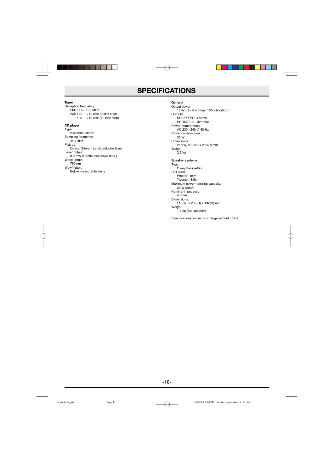### **SPECIFICATIONS**

#### **Tuner**

Reception frequency: FM: 87.5 - 108 MHz AM: 522 - 1710 kHz (9 kHz step) 520 - 1710 kHz (10 kHz step) **CD player**

#### Type: 2-channel stereo Sampling frequency: 44.1 kHz Pick-up: Optical 3-beam semiconductor laser Laser output: 0.6 mW (Continuous wave max.) Wave length: 790 nm Wow/flutter: Below measurable limits

#### **General**

Output power: 10 W x 2 (at 4 ohms, 10% distortion) Outputs: SPEAKERS: 4 ohms PHONES: 8 - 32 ohms Power requirements: AC 230 - 240 V, 50 Hz Power consumption: 30 W Dimensions: 256(W) x 88(H) x 286(D) mm Weight: 2.9 kg

#### **Speaker systems**

Type: 2 way bass reflex Unit used: Woofer: 8cm Tweeter: 3.5cm Maximum power-handling capacity: 20 W (peak) Nominal impedance: 4 ohms Dimensions: 115(W) x 233(H) x 192(D) mm Weight: 1.9 kg (per speaker)

Specifications subject to change without notice.